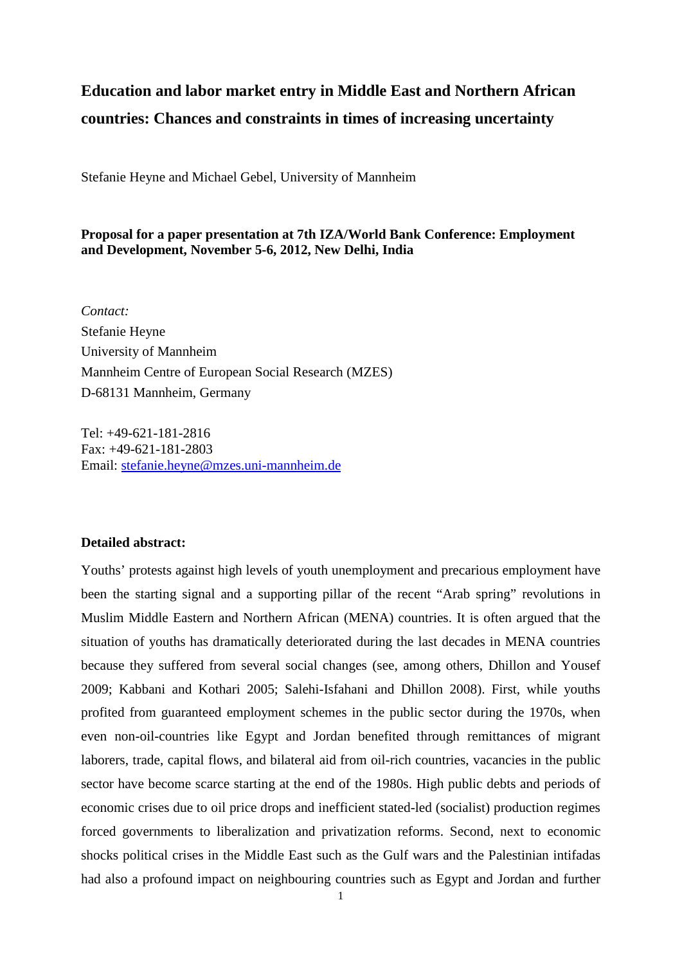## **Education and labor market entry in Middle East and Northern African countries: Chances and constraints in times of increasing uncertainty**

Stefanie Heyne and Michael Gebel, University of Mannheim

## **Proposal for a paper presentation at 7th IZA/World Bank Conference: Employment and Development, November 5-6, 2012, New Delhi, India**

*Contact:*  Stefanie Heyne University of Mannheim Mannheim Centre of European Social Research (MZES) D-68131 Mannheim, Germany

Tel: +49-621-181-2816 Fax: +49-621-181-2803 Email: [stefanie.heyne@mzes.uni-mannheim.de](mailto:stefanie.heyne@mzes.uni-mannheim.de)

## **Detailed abstract:**

Youths' protests against high levels of youth unemployment and precarious employment have been the starting signal and a supporting pillar of the recent "Arab spring" revolutions in Muslim Middle Eastern and Northern African (MENA) countries. It is often argued that the situation of youths has dramatically deteriorated during the last decades in MENA countries because they suffered from several social changes (see, among others, Dhillon and Yousef 2009; Kabbani and Kothari 2005; Salehi-Isfahani and Dhillon 2008). First, while youths profited from guaranteed employment schemes in the public sector during the 1970s, when even non-oil-countries like Egypt and Jordan benefited through remittances of migrant laborers, trade, capital flows, and bilateral aid from oil-rich countries, vacancies in the public sector have become scarce starting at the end of the 1980s. High public debts and periods of economic crises due to oil price drops and inefficient stated-led (socialist) production regimes forced governments to liberalization and privatization reforms. Second, next to economic shocks political crises in the Middle East such as the Gulf wars and the Palestinian intifadas had also a profound impact on neighbouring countries such as Egypt and Jordan and further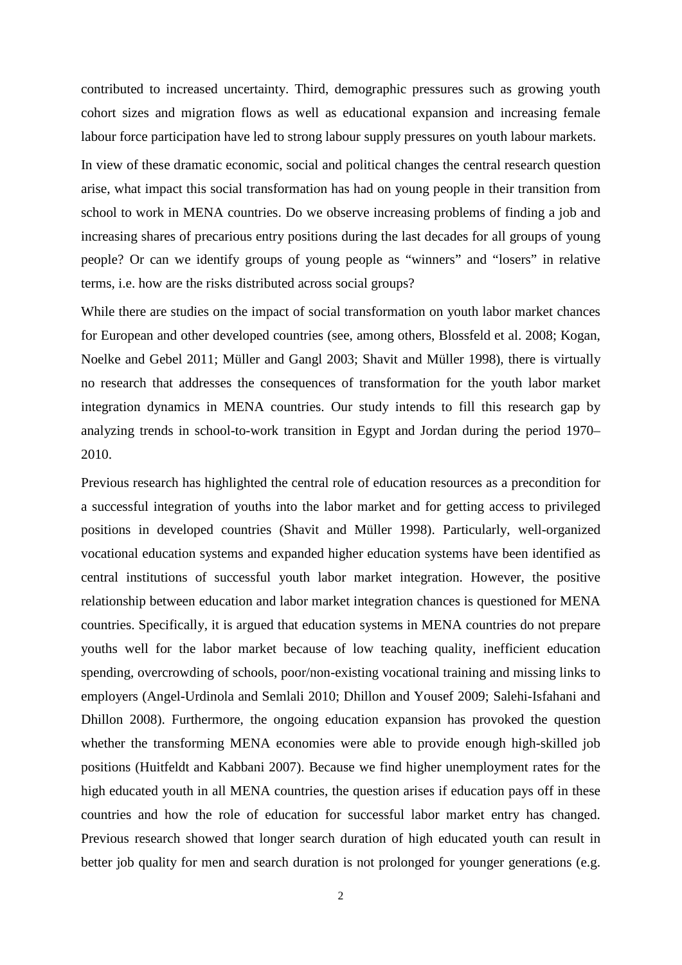contributed to increased uncertainty. Third, demographic pressures such as growing youth cohort sizes and migration flows as well as educational expansion and increasing female labour force participation have led to strong labour supply pressures on youth labour markets.

In view of these dramatic economic, social and political changes the central research question arise, what impact this social transformation has had on young people in their transition from school to work in MENA countries. Do we observe increasing problems of finding a job and increasing shares of precarious entry positions during the last decades for all groups of young people? Or can we identify groups of young people as "winners" and "losers" in relative terms, i.e. how are the risks distributed across social groups?

While there are studies on the impact of social transformation on youth labor market chances for European and other developed countries (see, among others, Blossfeld et al. 2008; Kogan, Noelke and Gebel 2011; Müller and Gangl 2003; Shavit and Müller 1998), there is virtually no research that addresses the consequences of transformation for the youth labor market integration dynamics in MENA countries. Our study intends to fill this research gap by analyzing trends in school-to-work transition in Egypt and Jordan during the period 1970– 2010.

Previous research has highlighted the central role of education resources as a precondition for a successful integration of youths into the labor market and for getting access to privileged positions in developed countries (Shavit and Müller 1998). Particularly, well-organized vocational education systems and expanded higher education systems have been identified as central institutions of successful youth labor market integration. However, the positive relationship between education and labor market integration chances is questioned for MENA countries. Specifically, it is argued that education systems in MENA countries do not prepare youths well for the labor market because of low teaching quality, inefficient education spending, overcrowding of schools, poor/non-existing vocational training and missing links to employers (Angel-Urdinola and Semlali 2010; Dhillon and Yousef 2009; Salehi-Isfahani and Dhillon 2008). Furthermore, the ongoing education expansion has provoked the question whether the transforming MENA economies were able to provide enough high-skilled job positions (Huitfeldt and Kabbani 2007). Because we find higher unemployment rates for the high educated youth in all MENA countries, the question arises if education pays off in these countries and how the role of education for successful labor market entry has changed. Previous research showed that longer search duration of high educated youth can result in better job quality for men and search duration is not prolonged for younger generations (e.g.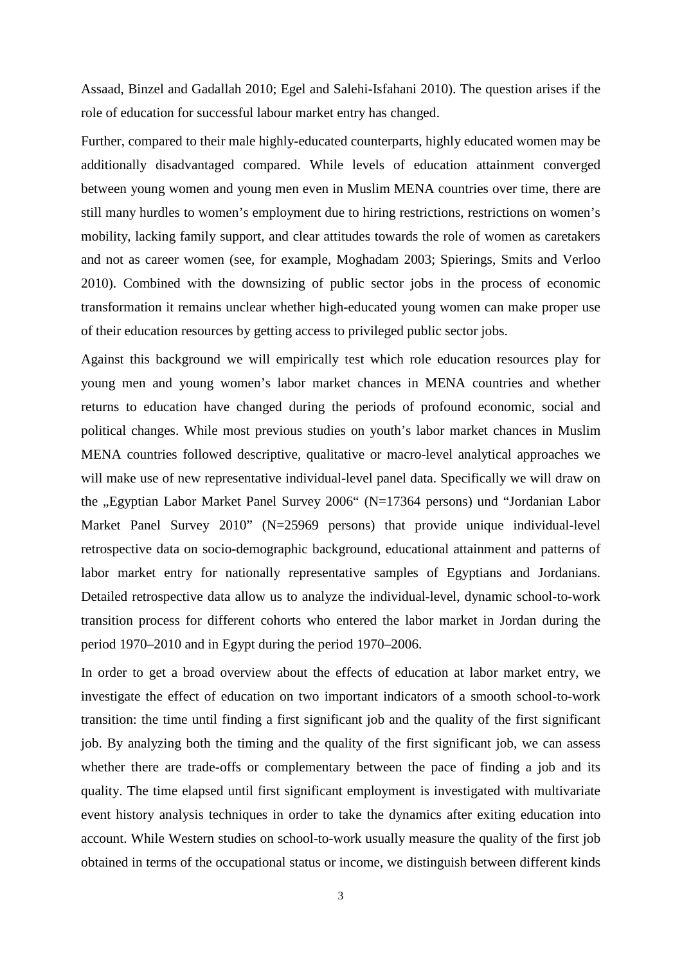Assaad, Binzel and Gadallah 2010; Egel and Salehi-Isfahani 2010). The question arises if the role of education for successful labour market entry has changed.

Further, compared to their male highly-educated counterparts, highly educated women may be additionally disadvantaged compared. While levels of education attainment converged between young women and young men even in Muslim MENA countries over time, there are still many hurdles to women's employment due to hiring restrictions, restrictions on women's mobility, lacking family support, and clear attitudes towards the role of women as caretakers and not as career women (see, for example, Moghadam 2003; Spierings, Smits and Verloo 2010). Combined with the downsizing of public sector jobs in the process of economic transformation it remains unclear whether high-educated young women can make proper use of their education resources by getting access to privileged public sector jobs.

Against this background we will empirically test which role education resources play for young men and young women's labor market chances in MENA countries and whether returns to education have changed during the periods of profound economic, social and political changes. While most previous studies on youth's labor market chances in Muslim MENA countries followed descriptive, qualitative or macro-level analytical approaches we will make use of new representative individual-level panel data. Specifically we will draw on the "Egyptian Labor Market Panel Survey 2006" (N=17364 persons) und "Jordanian Labor Market Panel Survey 2010" (N=25969 persons) that provide unique individual-level retrospective data on socio-demographic background, educational attainment and patterns of labor market entry for nationally representative samples of Egyptians and Jordanians. Detailed retrospective data allow us to analyze the individual-level, dynamic school-to-work transition process for different cohorts who entered the labor market in Jordan during the period 1970–2010 and in Egypt during the period 1970–2006.

In order to get a broad overview about the effects of education at labor market entry, we investigate the effect of education on two important indicators of a smooth school-to-work transition: the time until finding a first significant job and the quality of the first significant job. By analyzing both the timing and the quality of the first significant job, we can assess whether there are trade-offs or complementary between the pace of finding a job and its quality. The time elapsed until first significant employment is investigated with multivariate event history analysis techniques in order to take the dynamics after exiting education into account. While Western studies on school-to-work usually measure the quality of the first job obtained in terms of the occupational status or income, we distinguish between different kinds